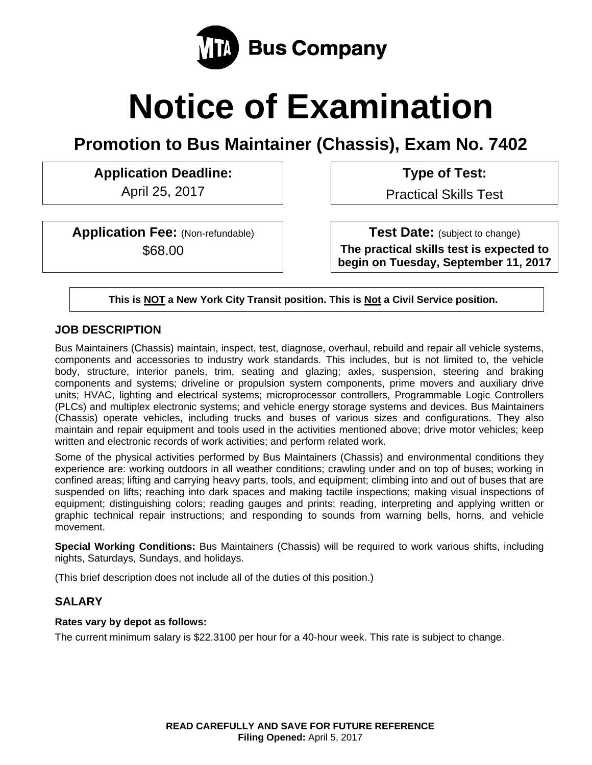

# **Notice of Examination**

**Promotion to Bus Maintainer (Chassis), Exam No. 7402** 

Application Deadline:  $\vert$  | Type of Test:

April 25, 2017 **Practical Skills Test** 

**Application Fee:** (Non-refundable) \$68.00

**Test Date:** (subject to change) **The practical skills test is expected to begin on Tuesday, September 11, 2017** 

**This is NOT a New York City Transit position. This is Not a Civil Service position.** 

## **JOB DESCRIPTION**

Bus Maintainers (Chassis) maintain, inspect, test, diagnose, overhaul, rebuild and repair all vehicle systems, components and accessories to industry work standards. This includes, but is not limited to, the vehicle body, structure, interior panels, trim, seating and glazing; axles, suspension, steering and braking components and systems; driveline or propulsion system components, prime movers and auxiliary drive units; HVAC, lighting and electrical systems; microprocessor controllers, Programmable Logic Controllers (PLCs) and multiplex electronic systems; and vehicle energy storage systems and devices. Bus Maintainers (Chassis) operate vehicles, including trucks and buses of various sizes and configurations. They also maintain and repair equipment and tools used in the activities mentioned above; drive motor vehicles; keep written and electronic records of work activities; and perform related work.

Some of the physical activities performed by Bus Maintainers (Chassis) and environmental conditions they experience are: working outdoors in all weather conditions; crawling under and on top of buses; working in confined areas; lifting and carrying heavy parts, tools, and equipment; climbing into and out of buses that are suspended on lifts; reaching into dark spaces and making tactile inspections; making visual inspections of equipment; distinguishing colors; reading gauges and prints; reading, interpreting and applying written or graphic technical repair instructions; and responding to sounds from warning bells, horns, and vehicle movement.

**Special Working Conditions:** Bus Maintainers (Chassis) will be required to work various shifts, including nights, Saturdays, Sundays, and holidays.

(This brief description does not include all of the duties of this position.)

## **SALARY**

#### **Rates vary by depot as follows:**

The current minimum salary is \$22.3100 per hour for a 40-hour week. This rate is subject to change.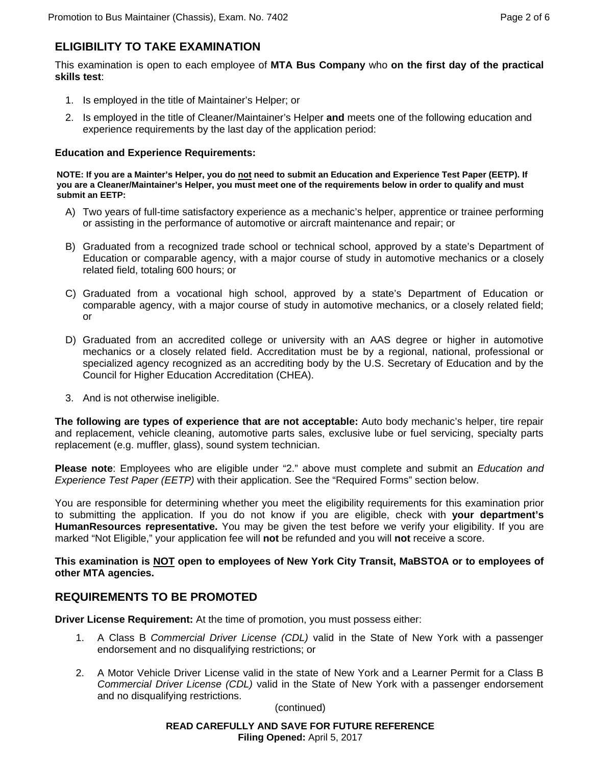# **ELIGIBILITY TO TAKE EXAMINATION**

This examination is open to each employee of **MTA Bus Company** who **on the first day of the practical skills test**:

- 1. Is employed in the title of Maintainer's Helper; or
- 2. Is employed in the title of Cleaner/Maintainer's Helper **and** meets one of the following education and experience requirements by the last day of the application period:

#### **Education and Experience Requirements:**

**NOTE: If you are a Mainter's Helper, you do not need to submit an Education and Experience Test Paper (EETP). If you are a Cleaner/Maintainer's Helper, you must meet one of the requirements below in order to qualify and must submit an EETP:** 

- A) Two years of full-time satisfactory experience as a mechanic's helper, apprentice or trainee performing or assisting in the performance of automotive or aircraft maintenance and repair; or
- B) Graduated from a recognized trade school or technical school, approved by a state's Department of Education or comparable agency, with a major course of study in automotive mechanics or a closely related field, totaling 600 hours; or
- C) Graduated from a vocational high school, approved by a state's Department of Education or comparable agency, with a major course of study in automotive mechanics, or a closely related field; or
- D) Graduated from an accredited college or university with an AAS degree or higher in automotive mechanics or a closely related field. Accreditation must be by a regional, national, professional or specialized agency recognized as an accrediting body by the U.S. Secretary of Education and by the Council for Higher Education Accreditation (CHEA).
- 3. And is not otherwise ineligible.

**The following are types of experience that are not acceptable:** Auto body mechanic's helper, tire repair and replacement, vehicle cleaning, automotive parts sales, exclusive lube or fuel servicing, specialty parts replacement (e.g. muffler, glass), sound system technician.

**Please note**: Employees who are eligible under "2." above must complete and submit an *Education and Experience Test Paper (EETP)* with their application. See the "Required Forms" section below.

You are responsible for determining whether you meet the eligibility requirements for this examination prior to submitting the application. If you do not know if you are eligible, check with **your department's HumanResources representative.** You may be given the test before we verify your eligibility. If you are marked "Not Eligible," your application fee will **not** be refunded and you will **not** receive a score.

**This examination is NOT open to employees of New York City Transit, MaBSTOA or to employees of other MTA agencies.** 

## **REQUIREMENTS TO BE PROMOTED**

**Driver License Requirement:** At the time of promotion, you must possess either:

- 1. A Class B *Commercial Driver License (CDL)* valid in the State of New York with a passenger endorsement and no disqualifying restrictions; or
- 2. A Motor Vehicle Driver License valid in the state of New York and a Learner Permit for a Class B *Commercial Driver License (CDL)* valid in the State of New York with a passenger endorsement and no disqualifying restrictions.

(continued)

**READ CAREFULLY AND SAVE FOR FUTURE REFERENCE Filing Opened:** April 5, 2017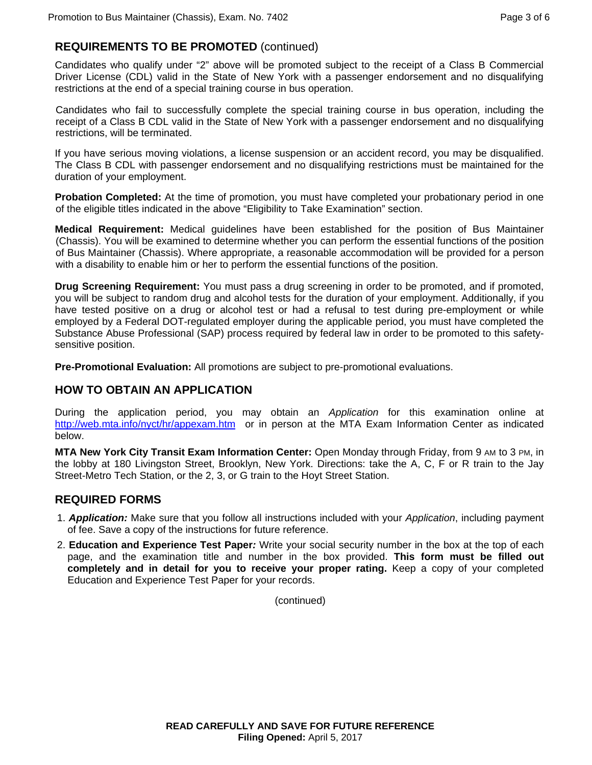## **REQUIREMENTS TO BE PROMOTED** (continued)

Candidates who qualify under "2" above will be promoted subject to the receipt of a Class B Commercial Driver License (CDL) valid in the State of New York with a passenger endorsement and no disqualifying restrictions at the end of a special training course in bus operation.

Candidates who fail to successfully complete the special training course in bus operation, including the receipt of a Class B CDL valid in the State of New York with a passenger endorsement and no disqualifying restrictions, will be terminated.

If you have serious moving violations, a license suspension or an accident record, you may be disqualified. The Class B CDL with passenger endorsement and no disqualifying restrictions must be maintained for the duration of your employment.

**Probation Completed:** At the time of promotion, you must have completed your probationary period in one of the eligible titles indicated in the above "Eligibility to Take Examination" section.

**Medical Requirement:** Medical guidelines have been established for the position of Bus Maintainer (Chassis). You will be examined to determine whether you can perform the essential functions of the position of Bus Maintainer (Chassis). Where appropriate, a reasonable accommodation will be provided for a person with a disability to enable him or her to perform the essential functions of the position.

**Drug Screening Requirement:** You must pass a drug screening in order to be promoted, and if promoted, you will be subject to random drug and alcohol tests for the duration of your employment. Additionally, if you have tested positive on a drug or alcohol test or had a refusal to test during pre-employment or while employed by a Federal DOT-regulated employer during the applicable period, you must have completed the Substance Abuse Professional (SAP) process required by federal law in order to be promoted to this safetysensitive position.

**Pre-Promotional Evaluation:** All promotions are subject to pre-promotional evaluations.

#### **HOW TO OBTAIN AN APPLICATION**

During the application period, you may obtain an *Application* for this examination online at http://web.mta.info/nyct/hr/appexam.htm or in person at the MTA Exam Information Center as indicated below.

**MTA New York City Transit Exam Information Center:** Open Monday through Friday, from 9 AM to 3 PM, in the lobby at 180 Livingston Street, Brooklyn, New York. Directions: take the A, C, F or R train to the Jay Street-Metro Tech Station, or the 2, 3, or G train to the Hoyt Street Station.

#### **REQUIRED FORMS**

- 1. *Application:* Make sure that you follow all instructions included with your *Application*, including payment of fee. Save a copy of the instructions for future reference.
- 2. **Education and Experience Test Paper***:* Write your social security number in the box at the top of each page, and the examination title and number in the box provided. **This form must be filled out completely and in detail for you to receive your proper rating.** Keep a copy of your completed Education and Experience Test Paper for your records.

(continued)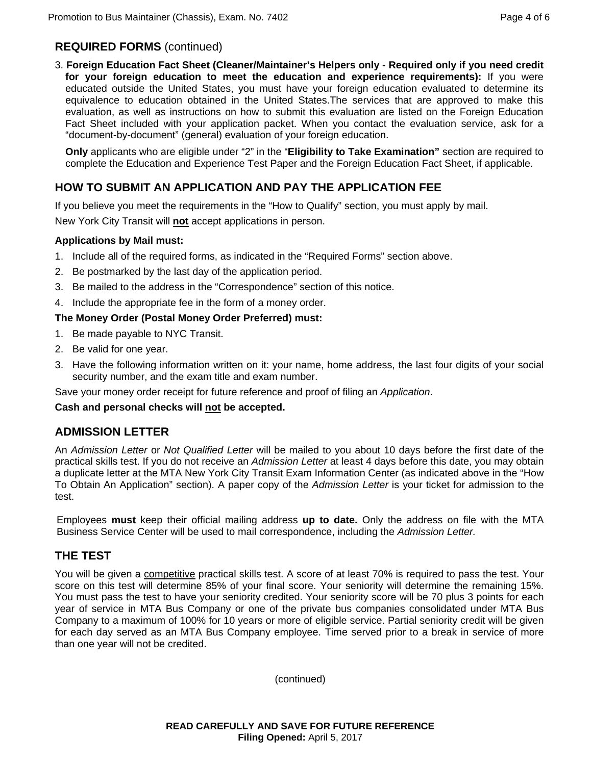## **REQUIRED FORMS** (continued)

3. **Foreign Education Fact Sheet (Cleaner/Maintainer's Helpers only - Required only if you need credit for your foreign education to meet the education and experience requirements):** If you were educated outside the United States, you must have your foreign education evaluated to determine its equivalence to education obtained in the United States.The services that are approved to make this evaluation, as well as instructions on how to submit this evaluation are listed on the Foreign Education Fact Sheet included with your application packet. When you contact the evaluation service, ask for a "document-by-document" (general) evaluation of your foreign education.

**Only** applicants who are eligible under "2" in the "**Eligibility to Take Examination"** section are required to complete the Education and Experience Test Paper and the Foreign Education Fact Sheet, if applicable.

## **HOW TO SUBMIT AN APPLICATION AND PAY THE APPLICATION FEE**

If you believe you meet the requirements in the "How to Qualify" section, you must apply by mail.

New York City Transit will **not** accept applications in person.

#### **Applications by Mail must:**

- 1. Include all of the required forms, as indicated in the "Required Forms" section above.
- 2. Be postmarked by the last day of the application period.
- 3. Be mailed to the address in the "Correspondence" section of this notice.
- 4. Include the appropriate fee in the form of a money order.

#### **The Money Order (Postal Money Order Preferred) must:**

- 1. Be made payable to NYC Transit.
- 2. Be valid for one year.
- 3. Have the following information written on it: your name, home address, the last four digits of your social security number, and the exam title and exam number.

Save your money order receipt for future reference and proof of filing an *Application*.

#### **Cash and personal checks will not be accepted.**

#### **ADMISSION LETTER**

An *Admission Letter* or *Not Qualified Letter* will be mailed to you about 10 days before the first date of the practical skills test. If you do not receive an *Admission Letter* at least 4 days before this date, you may obtain a duplicate letter at the MTA New York City Transit Exam Information Center (as indicated above in the "How To Obtain An Application" section). A paper copy of the *Admission Letter* is your ticket for admission to the test.

Employees **must** keep their official mailing address **up to date.** Only the address on file with the MTA Business Service Center will be used to mail correspondence, including the *Admission Letter.*

## **THE TEST**

You will be given a competitive practical skills test. A score of at least 70% is required to pass the test. Your score on this test will determine 85% of your final score. Your seniority will determine the remaining 15%. You must pass the test to have your seniority credited. Your seniority score will be 70 plus 3 points for each year of service in MTA Bus Company or one of the private bus companies consolidated under MTA Bus Company to a maximum of 100% for 10 years or more of eligible service. Partial seniority credit will be given for each day served as an MTA Bus Company employee. Time served prior to a break in service of more than one year will not be credited.

(continued)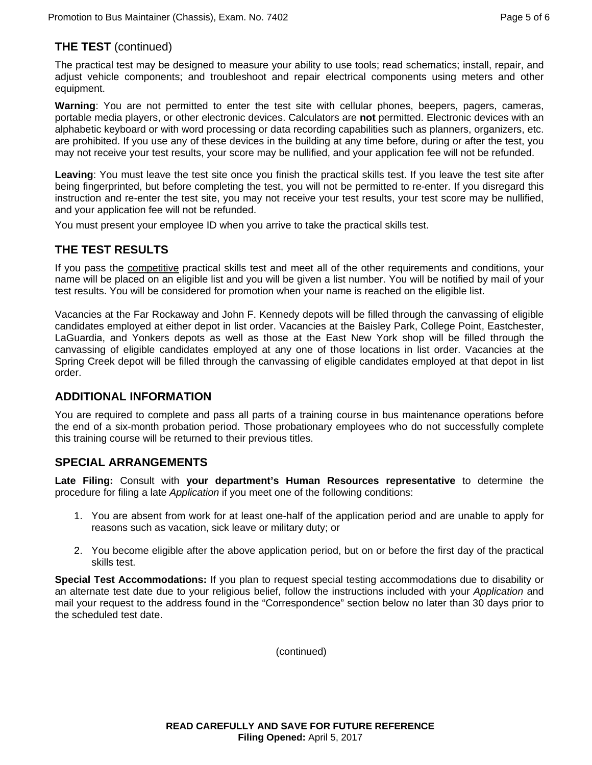# **THE TEST** (continued)

The practical test may be designed to measure your ability to use tools; read schematics; install, repair, and adjust vehicle components; and troubleshoot and repair electrical components using meters and other equipment.

**Warning**: You are not permitted to enter the test site with cellular phones, beepers, pagers, cameras, portable media players, or other electronic devices. Calculators are **not** permitted. Electronic devices with an alphabetic keyboard or with word processing or data recording capabilities such as planners, organizers, etc. are prohibited. If you use any of these devices in the building at any time before, during or after the test, you may not receive your test results, your score may be nullified, and your application fee will not be refunded.

**Leaving**: You must leave the test site once you finish the practical skills test. If you leave the test site after being fingerprinted, but before completing the test, you will not be permitted to re-enter. If you disregard this instruction and re-enter the test site, you may not receive your test results, your test score may be nullified, and your application fee will not be refunded.

You must present your employee ID when you arrive to take the practical skills test.

# **THE TEST RESULTS**

If you pass the competitive practical skills test and meet all of the other requirements and conditions, your name will be placed on an eligible list and you will be given a list number. You will be notified by mail of your test results. You will be considered for promotion when your name is reached on the eligible list.

Vacancies at the Far Rockaway and John F. Kennedy depots will be filled through the canvassing of eligible candidates employed at either depot in list order. Vacancies at the Baisley Park, College Point, Eastchester, LaGuardia, and Yonkers depots as well as those at the East New York shop will be filled through the canvassing of eligible candidates employed at any one of those locations in list order. Vacancies at the Spring Creek depot will be filled through the canvassing of eligible candidates employed at that depot in list order.

## **ADDITIONAL INFORMATION**

You are required to complete and pass all parts of a training course in bus maintenance operations before the end of a six-month probation period. Those probationary employees who do not successfully complete this training course will be returned to their previous titles.

## **SPECIAL ARRANGEMENTS**

**Late Filing:** Consult with **your department's Human Resources representative** to determine the procedure for filing a late *Application* if you meet one of the following conditions:

- 1. You are absent from work for at least one-half of the application period and are unable to apply for reasons such as vacation, sick leave or military duty; or
- 2. You become eligible after the above application period, but on or before the first day of the practical skills test.

**Special Test Accommodations:** If you plan to request special testing accommodations due to disability or an alternate test date due to your religious belief, follow the instructions included with your *Application* and mail your request to the address found in the "Correspondence" section below no later than 30 days prior to the scheduled test date.

(continued)